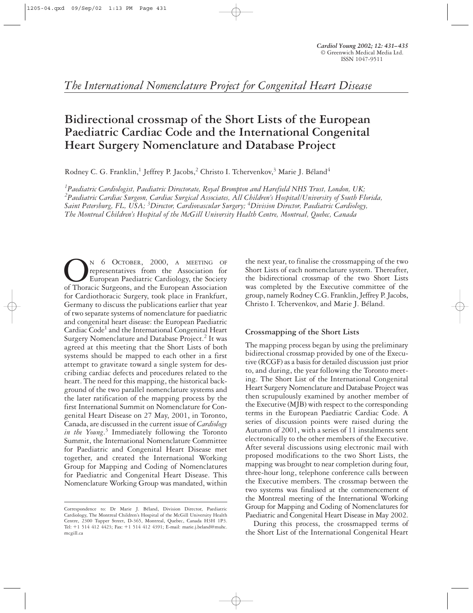*Cardiol Young 2002; 12: 431–435* © Greenwich Medical Media Ltd. ISSN 1047-9511

*The International Nomenclature Project for Congenital Heart Disease*

# **Bidirectional crossmap of the Short Lists of the European Paediatric Cardiac Code and the International Congenital Heart Surgery Nomenclature and Database Project**

Rodney C. G. Franklin,<sup>1</sup> Jeffrey P. Jacobs,<sup>2</sup> Christo I. Tchervenkov,<sup>3</sup> Marie J. Béland<sup>4</sup>

*1 Paediatric Cardiologist, Paediatric Directorate, Royal Brompton and Harefield NHS Trust, London, UK; 2 Paediatric Cardiac Surgeon, Cardiac Surgical Associates, All Children's Hospital/University of South Florida, Saint Petersburg, FL, USA; 3 Director, Cardiovascular Surgery; 4 Division Director, Paediatric Cardiology, The Montreal Children's Hospital of the McGill University Health Centre, Montreal, Quebec, Canada*

N 6 OCTOBER, 2000, A MEETING OF representatives from the Association for European Paediatric Cardiology, the Society of Thoracic Surgeons, and the European Association representatives from the Association for European Paediatric Cardiology, the Society for Cardiothoracic Surgery, took place in Frankfurt, Germany to discuss the publications earlier that year of two separate systems of nomenclature for paediatric and congenital heart disease: the European Paediatric Cardiac Code<sup>1</sup> and the International Congenital Heart Surgery Nomenclature and Database Project.<sup>2</sup> It was agreed at this meeting that the Short Lists of both systems should be mapped to each other in a first attempt to gravitate toward a single system for describing cardiac defects and procedures related to the heart. The need for this mapping, the historical background of the two parallel nomenclature systems and the later ratification of the mapping process by the first International Summit on Nomenclature for Congenital Heart Disease on 27 May, 2001, in Toronto, Canada, are discussed in the current issue of *Cardiology in the Young*. <sup>3</sup> Immediately following the Toronto Summit, the International Nomenclature Committee for Paediatric and Congenital Heart Disease met together, and created the International Working Group for Mapping and Coding of Nomenclatures for Paediatric and Congenital Heart Disease. This Nomenclature Working Group was mandated, within

the next year, to finalise the crossmapping of the two Short Lists of each nomenclature system. Thereafter, the bidirectional crossmap of the two Short Lists was completed by the Executive committee of the group, namely Rodney C.G. Franklin, Jeffrey P. Jacobs, Christo I. Tchervenkov, and Marie J. Béland.

#### **Crossmapping of the Short Lists**

The mapping process began by using the preliminary bidirectional crossmap provided by one of the Executive (RCGF) as a basis for detailed discussion just prior to, and during, the year following the Toronto meeting. The Short List of the International Congenital Heart Surgery Nomenclature and Database Project was then scrupulously examined by another member of the Executive (MJB) with respect to the corresponding terms in the European Paediatric Cardiac Code. A series of discussion points were raised during the Autumn of 2001, with a series of 11 instalments sent electronically to the other members of the Executive. After several discussions using electronic mail with proposed modifications to the two Short Lists, the mapping was brought to near completion during four, three-hour long, telephone conference calls between the Executive members. The crossmap between the two systems was finalised at the commencement of the Montreal meeting of the International Working Group for Mapping and Coding of Nomenclatures for Paediatric and Congenital Heart Disease in May 2002.

During this process, the crossmapped terms of the Short List of the International Congenital Heart

Correspondence to: Dr Marie J. Béland, Division Director, Paediatric Cardiology, The Montreal Children's Hospital of the McGill University Health Centre, 2300 Tupper Street, D-365, Montreal, Quebec, Canada H3H 1P3. Tel: +1 514 412 4423; Fax: +1 514 412 4391; E-mail: marie.j.beland@muhc. mcgill.ca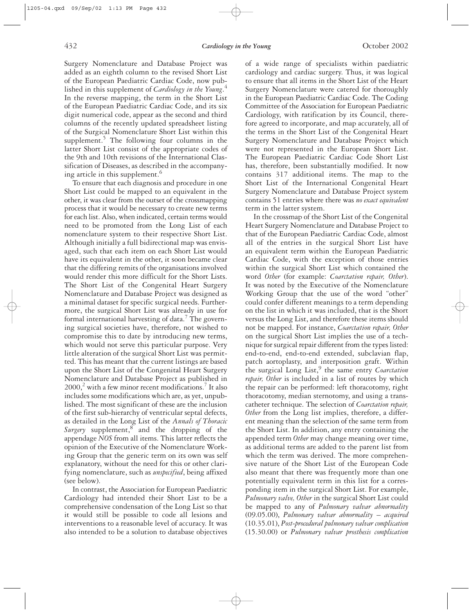Surgery Nomenclature and Database Project was added as an eighth column to the revised Short List of the European Paediatric Cardiac Code, now published in this supplement of *Cardiology in the Young*. 4 In the reverse mapping, the term in the Short List of the European Paediatric Cardiac Code, and its six digit numerical code, appear as the second and third columns of the recently updated spreadsheet listing of the Surgical Nomenclature Short List within this supplement.<sup>5</sup> The following four columns in the latter Short List consist of the appropriate codes of the 9th and 10th revisions of the International Classification of Diseases, as described in the accompanying article in this supplement.<sup>6</sup>

To ensure that each diagnosis and procedure in one Short List could be mapped to an equivalent in the other, it was clear from the outset of the crossmapping process that it would be necessary to create new terms for each list. Also, when indicated, certain terms would need to be promoted from the Long List of each nomenclature system to their respective Short List. Although initially a full bidirectional map was envisaged, such that each item on each Short List would have its equivalent in the other, it soon became clear that the differing remits of the organisations involved would render this more difficult for the Short Lists. The Short List of the Congenital Heart Surgery Nomenclature and Database Project was designed as a minimal dataset for specific surgical needs. Furthermore, the surgical Short List was already in use for formal international harvesting of data.<sup>7</sup> The governing surgical societies have, therefore, not wished to compromise this to date by introducing new terms, which would not serve this particular purpose. Very little alteration of the surgical Short List was permitted. This has meant that the current listings are based upon the Short List of the Congenital Heart Surgery Nomenclature and Database Project as published in  $2000$ ,<sup>2</sup> with a few minor recent modifications.<sup>7</sup> It also includes some modifications which are, as yet, unpublished. The most significant of these are the inclusion of the first sub-hierarchy of ventricular septal defects, as detailed in the Long List of the *Annals of Thoracic Surgery* supplement,8 and the dropping of the appendage *NOS* from all items. This latter reflects the opinion of the Executive of the Nomenclature Working Group that the generic term on its own was self explanatory, without the need for this or other clarifying nomenclature, such as *unspecified*, being affixed (see below).

In contrast, the Association for European Paediatric Cardiology had intended their Short List to be a comprehensive condensation of the Long List so that it would still be possible to code all lesions and interventions to a reasonable level of accuracy. It was also intended to be a solution to database objectives of a wide range of specialists within paediatric cardiology and cardiac surgery. Thus, it was logical to ensure that all items in the Short List of the Heart Surgery Nomenclature were catered for thoroughly in the European Paediatric Cardiac Code. The Coding Committee of the Association for European Paediatric Cardiology, with ratification by its Council, therefore agreed to incorporate, and map accurately, all of the terms in the Short List of the Congenital Heart Surgery Nomenclature and Database Project which were not represented in the European Short List. The European Paediatric Cardiac Code Short List has, therefore, been substantially modified. It now contains 317 additional items. The map to the Short List of the International Congenital Heart Surgery Nomenclature and Database Project system contains 51 entries where there was *no exact equivalent* term in the latter system.

In the crossmap of the Short List of the Congenital Heart Surgery Nomenclature and Database Project to that of the European Paediatric Cardiac Code, almost all of the entries in the surgical Short List have an equivalent term within the European Paediatric Cardiac Code, with the exception of those entries within the surgical Short List which contained the word *Other* (for example: *Coarctation repair, Other*). It was noted by the Executive of the Nomenclature Working Group that the use of the word "other" could confer different meanings to a term depending on the list in which it was included, that is the Short versus the Long List, and therefore these items should not be mapped. For instance, *Coarctation repair, Other* on the surgical Short List implies the use of a technique for surgical repair different from the types listed: end-to-end, end-to-end extended, subclavian flap, patch aortoplasty, and interposition graft. Within the surgical Long List,<sup>9</sup> the same entry *Coarctation repair, Other* is included in a list of routes by which the repair can be performed: left thoracotomy, right thoracotomy, median sternotomy, and using a transcatheter technique. The selection of *Coarctation repair, Other* from the Long list implies, therefore, a different meaning than the selection of the same term from the Short List. In addition, any entry containing the appended term *Other* may change meaning over time, as additional terms are added to the parent list from which the term was derived. The more comprehensive nature of the Short List of the European Code also meant that there was frequently more than one potentially equivalent term in this list for a corresponding item in the surgical Short List. For example, *Pulmonary valve, Other* in the surgical Short List could be mapped to any of *Pulmonary valvar abnormality* (09.05.00), *Pulmonary valvar abnormality* – *acquired* (10.35.01), *Post-procedural pulmonary valvar complication* (15.30.00) or *Pulmonary valvar prosthesis complication*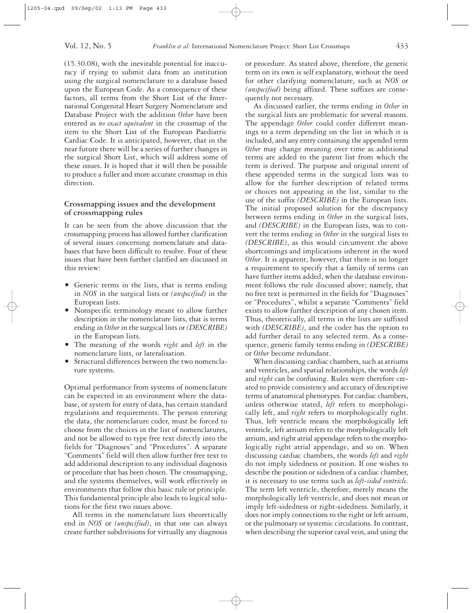(15.30.08), with the inevitable potential for inaccuracy if trying to submit data from an institution using the surgical nomenclature to a database based upon the European Code. As a consequence of these factors, all terms from the Short List of the International Congenital Heart Surgery Nomenclature and Database Project with the addition *Other* have been entered as *no exact equivalent* in the crossmap of the item to the Short List of the European Paediatric Cardiac Code. It is anticipated, however, that in the near future there will be a series of further changes in the surgical Short List, which will address some of these issues. It is hoped that it will then be possible to produce a fuller and more accurate crossmap in this direction.

## **Crossmapping issues and the development of crossmapping rules**

It can be seen from the above discussion that the crossmapping process has allowed further clarification of several issues concerning nomenclature and databases that have been difficult to resolve. Four of these issues that have been further clarified are discussed in this review:

- Generic terms in the lists, that is terms ending in *NOS* in the surgical lists or *(unspecified)* in the European lists.
- Nonspecific terminology meant to allow further description in the nomenclature lists, that is terms ending in *Other* in the surgical lists or *(DESCRIBE)* in the European lists.
- The meaning of the words *right* and *left* in the nomenclature lists, or lateralisation.
- Structural differences between the two nomenclature systems.

Optimal performance from systems of nomenclature can be expected in an environment where the database, or system for entry of data, has certain standard regulations and requirements. The person entering the data, the nomenclature coder, must be forced to choose from the choices in the list of nomenclatures, and not be allowed to type free text directly into the fields for "Diagnoses" and "Procedures". A separate "Comments" field will then allow further free text to add additional description to any individual diagnosis or procedure that has been chosen. The crossmapping, and the systems themselves, will work effectively in environments that follow this basic rule or principle. This fundamental principle also leads to logical solutions for the first two issues above.

All terms in the nomenclature lists theoretically end in *NOS* or *(unspecified)*, in that one can always create further subdivisions for virtually any diagnosis or procedure. As stated above, therefore, the generic term on its own is self explanatory, without the need for other clarifying nomenclature, such as *NOS* or *(unspecified)* being affixed. These suffixes are consequently not necessary.

As discussed earlier, the terms ending in *Other* in the surgical lists are problematic for several reasons. The appendage *Other* could confer different meanings to a term depending on the list in which it is included, and any entry containing the appended term *Other* may change meaning over time as additional terms are added to the parent list from which the term is derived. The purpose and original intent of these appended terms in the surgical lists was to allow for the further description of related terms or choices not appearing in the list, similar to the use of the suffix *(DESCRIBE)* in the European lists. The initial proposed solution for the discrepancy between terms ending in *Other* in the surgical lists, and *(DESCRIBE)* in the European lists, was to convert the terms ending in *Other* in the surgical lists to *(DESCRIBE)*, as this would circumvent the above shortcomings and implications inherent in the word *Other*. It is apparent, however, that there is no longer a requirement to specify that a family of terms can have further items added, when the database environment follows the rule discussed above; namely, that no free text is permitted in the fields for "Diagnoses" or "Procedures", whilst a separate "Comments" field exists to allow further description of any chosen item. Thus, theoretically, all terms in the lists are suffixed with *(DESCRIBE)*, and the coder has the option to add further detail to any selected term. As a consequence, generic family terms ending in *(DESCRIBE)* or *Other* become redundant.

When discussing cardiac chambers, such as atriums and ventricles, and spatial relationships, the words *left* and *right* can be confusing. Rules were therefore created to provide consistency and accuracy of descriptive terms of anatomical phenotypes. For cardiac chambers, unless otherwise stated, *left* refers to morphologically left, and *right* refers to morphologically right. Thus, left ventricle means the morphologically left ventricle, left atrium refers to the morphologically left atrium, and right atrial appendage refers to the morphologically right atrial appendage, and so on. When discussing cardiac chambers, the words *left* and *right* do not imply sidedness or position. If one wishes to describe the position or sidedness of a cardiac chamber, it is necessary to use terms such as *left-sided ventricle*. The term left ventricle, therefore, merely means the morphologically left ventricle, and does not mean or imply left-sidedness or right-sidedness. Similarly, it does not imply connections to the right or left atrium, or the pulmonary or systemic circulations. In contrast, when describing the superior caval vein, and using the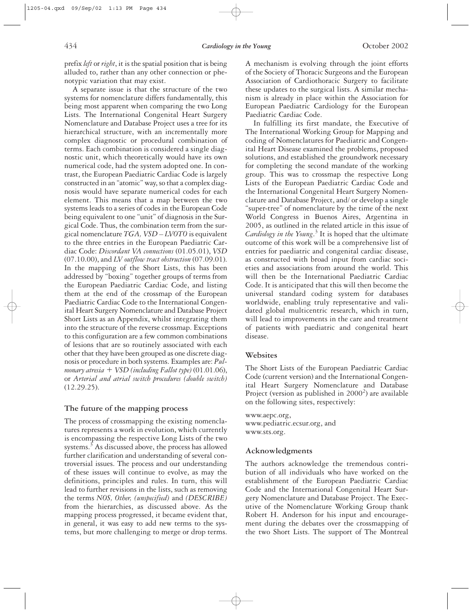prefix *left* or *right*, it is the spatial position that is being alluded to, rather than any other connection or phenotypic variation that may exist.

A separate issue is that the structure of the two systems for nomenclature differs fundamentally, this being most apparent when comparing the two Long Lists. The International Congenital Heart Surgery Nomenclature and Database Project uses a tree for its hierarchical structure, with an incrementally more complex diagnostic or procedural combination of terms. Each combination is considered a single diagnostic unit, which theoretically would have its own numerical code, had the system adopted one. In contrast, the European Paediatric Cardiac Code is largely constructed in an "atomic" way, so that a complex diagnosis would have separate numerical codes for each element. This means that a map between the two systems leads to a series of codes in the European Code being equivalent to one "unit" of diagnosis in the Surgical Code. Thus, the combination term from the surgical nomenclature *TGA, VSD – LVOTO* is equivalent to the three entries in the European Paediatric Cardiac Code: *Discordant VA connections* (01.05.01), *VSD* (07.10.00), and *LV outflow tract obstruction* (07.09.01). In the mapping of the Short Lists, this has been addressed by "boxing" together groups of terms from the European Paediatric Cardiac Code, and listing them at the end of the crossmap of the European Paediatric Cardiac Code to the International Congenital Heart Surgery Nomenclature and Database Project Short Lists as an Appendix, whilst integrating them into the structure of the reverse crossmap. Exceptions to this configuration are a few common combinations of lesions that are so routinely associated with each other that they have been grouped as one discrete diagnosis or procedure in both systems. Examples are: *Pulmonary atresia VSD (including Fallot type)* (01.01.06), or *Arterial and atrial switch procedures (double switch)* (12.29.25).

### **The future of the mapping process**

The process of crossmapping the existing nomenclatures represents a work in evolution, which currently is encompassing the respective Long Lists of the two systems.<sup>3</sup> As discussed above, the process has allowed further clarification and understanding of several controversial issues. The process and our understanding of these issues will continue to evolve, as may the definitions, principles and rules. In turn, this will lead to further revisions in the lists, such as removing the terms *NOS, Other, (unspecified)* and *(DESCRIBE)* from the hierarchies, as discussed above. As the mapping process progressed, it became evident that, in general, it was easy to add new terms to the systems, but more challenging to merge or drop terms.

A mechanism is evolving through the joint efforts of the Society of Thoracic Surgeons and the European Association of Cardiothoracic Surgery to facilitate these updates to the surgical lists. A similar mechanism is already in place within the Association for European Paediatric Cardiology for the European Paediatric Cardiac Code.

In fulfilling its first mandate, the Executive of The International Working Group for Mapping and coding of Nomenclatures for Paediatric and Congenital Heart Disease examined the problems, proposed solutions, and established the groundwork necessary for completing the second mandate of the working group. This was to crossmap the respective Long Lists of the European Paediatric Cardiac Code and the International Congenital Heart Surgery Nomenclature and Database Project, and/ or develop a single "super-tree" of nomenclature by the time of the next World Congress in Buenos Aires, Argentina in 2005, as outlined in the related article in this issue of *Cardiology in the Young*. <sup>3</sup> It is hoped that the ultimate outcome of this work will be a comprehensive list of entries for paediatric and congenital cardiac disease, as constructed with broad input from cardiac societies and associations from around the world. This will then be the International Paediatric Cardiac Code. It is anticipated that this will then become the universal standard coding system for databases worldwide, enabling truly representative and validated global multicentric research, which in turn, will lead to improvements in the care and treatment of patients with paediatric and congenital heart disease.

#### **Websites**

The Short Lists of the European Paediatric Cardiac Code (current version) and the International Congenital Heart Surgery Nomenclature and Database Project (version as published in 2000<sup>2</sup>) are available on the following sites, respectively:

www.aepc.org, www.pediatric.ecsur.org, and www.sts.org.

#### **Acknowledgments**

The authors acknowledge the tremendous contribution of all individuals who have worked on the establishment of the European Paediatric Cardiac Code and the International Congenital Heart Surgery Nomenclature and Database Project. The Executive of the Nomenclature Working Group thank Robert H. Anderson for his input and encouragement during the debates over the crossmapping of the two Short Lists. The support of The Montreal